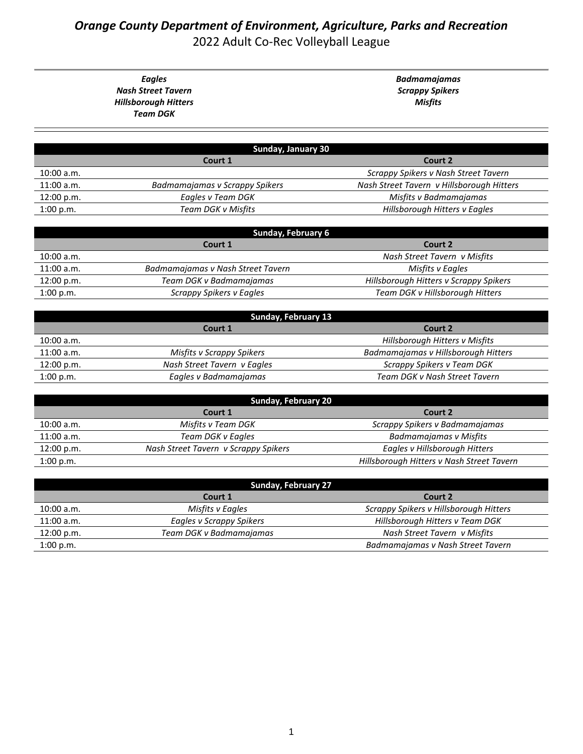## *Orange County Department of Environment, Agriculture, Parks and Recreation* 2022 Adult Co-Rec Volleyball League

*Eagles Nash Street Tavern Hillsborough Hitters Team DGK*

*Badmamajamas Scrappy Spikers Misfits*

| Sunday, January 30 |                                |                                           |
|--------------------|--------------------------------|-------------------------------------------|
|                    | Court 1                        | Court 2                                   |
| 10:00 a.m.         |                                | Scrappy Spikers v Nash Street Tavern      |
| $11:00$ a.m.       | Badmamajamas v Scrappy Spikers | Nash Street Tavern v Hillsborough Hitters |
| 12:00 p.m.         | Eagles v Team DGK              | Misfits v Badmamajamas                    |
| 1:00 p.m.          | Team DGK v Misfits             | Hillsborough Hitters v Eagles             |

| Sunday, February 6 |                                   |                                        |
|--------------------|-----------------------------------|----------------------------------------|
|                    | Court 1                           | Court 2                                |
| 10:00 a.m.         |                                   | Nash Street Tavern v Misfits           |
| $11:00$ a.m.       | Badmamajamas v Nash Street Tavern | Misfits v Eagles                       |
| 12:00 p.m.         | Team DGK v Badmamajamas           | Hillsborough Hitters v Scrappy Spikers |
| 1:00 p.m.          | Scrappy Spikers v Eagles          | Team DGK v Hillsborough Hitters        |

| Sunday, February 13 |                             |                                     |  |
|---------------------|-----------------------------|-------------------------------------|--|
|                     | Court 1                     | Court 2                             |  |
| 10:00 a.m.          |                             | Hillsborough Hitters v Misfits      |  |
| 11:00 a.m.          | Misfits v Scrappy Spikers   | Badmamajamas v Hillsborough Hitters |  |
| 12:00 p.m.          | Nash Street Tavern v Eagles | Scrappy Spikers v Team DGK          |  |
| 1:00 p.m.           | Eagles v Badmamajamas       | Team DGK v Nash Street Tavern       |  |
|                     |                             |                                     |  |

| <b>Sunday, February 20</b> |                                      |                                           |
|----------------------------|--------------------------------------|-------------------------------------------|
|                            | Court 1                              | Court 2                                   |
| 10:00 a.m.                 | Misfits v Team DGK                   | Scrappy Spikers v Badmamajamas            |
| 11:00 a.m.                 | Team DGK v Eagles                    | Badmamajamas v Misfits                    |
| 12:00 p.m.                 | Nash Street Tavern v Scrappy Spikers | Eagles v Hillsborough Hitters             |
| 1:00 p.m.                  |                                      | Hillsborough Hitters v Nash Street Tavern |

| <b>Sunday, February 27</b> |                          |                                        |
|----------------------------|--------------------------|----------------------------------------|
|                            | Court 1                  | Court 2                                |
| 10:00 a.m.                 | Misfits v Eagles         | Scrappy Spikers v Hillsborough Hitters |
| $11:00$ a.m.               | Eagles v Scrappy Spikers | Hillsborough Hitters v Team DGK        |
| 12:00 p.m.                 | Team DGK v Badmamajamas  | Nash Street Tavern v Misfits           |
| 1:00 p.m.                  |                          | Badmamajamas v Nash Street Tavern      |